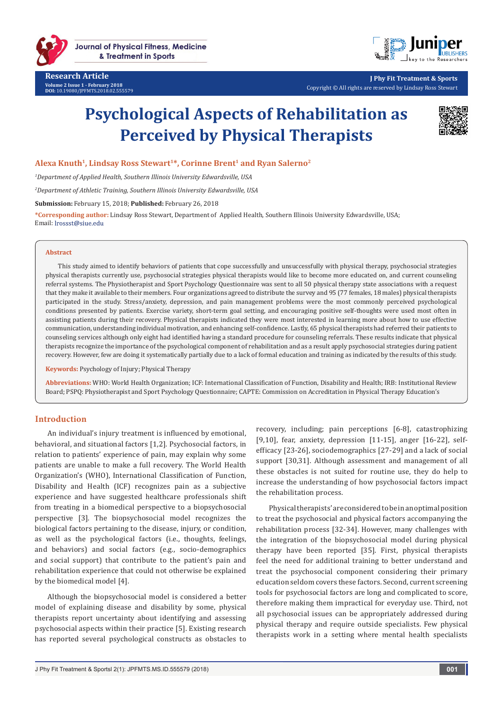



**J Phy Fit Treatment & Sports** Copyright © All rights are reserved by Lindsay Ross Stewart

# **Psychological Aspects of Rehabilitation as Perceived by Physical Therapists**



## Alexa Knuth<sup>1</sup>, Lindsay Ross Stewart<sup>1\*</sup>, Corinne Brent<sup>1</sup> and Ryan Salerno<sup>2</sup>

*1 Department of Applied Health, Southern Illinois University Edwardsville, USA*

*2 Department of Athletic Training, Southern Illinois University Edwardsville, USA*

**Submission:** February 15, 2018; **Published:** February 26, 2018

**\*Corresponding author:** Lindsay Ross Stewart, Department of Applied Health, Southern Illinois University Edwardsville, USA; Email: lrossst@siue.edu

#### **Abstract**

This study aimed to identify behaviors of patients that cope successfully and unsuccessfully with physical therapy, psychosocial strategies physical therapists currently use, psychosocial strategies physical therapists would like to become more educated on, and current counseling referral systems. The Physiotherapist and Sport Psychology Questionnaire was sent to all 50 physical therapy state associations with a request that they make it available to their members. Four organizations agreed to distribute the survey and 95 (77 females, 18 males) physical therapists participated in the study. Stress/anxiety, depression, and pain management problems were the most commonly perceived psychological conditions presented by patients. Exercise variety, short-term goal setting, and encouraging positive self-thoughts were used most often in assisting patients during their recovery. Physical therapists indicated they were most interested in learning more about how to use effective communication, understanding individual motivation, and enhancing self-confidence. Lastly, 65 physical therapists had referred their patients to counseling services although only eight had identified having a standard procedure for counseling referrals. These results indicate that physical therapists recognize the importance of the psychological component of rehabilitation and as a result apply psychosocial strategies during patient recovery. However, few are doing it systematically partially due to a lack of formal education and training as indicated by the results of this study.

**Keywords:** Psychology of Injury; Physical Therapy

**Abbreviations:** WHO: World Health Organization; ICF: International Classification of Function, Disability and Health; IRB: Institutional Review Board; PSPQ: Physiotherapist and Sport Psychology Questionnaire; CAPTE: Commission on Accreditation in Physical Therapy Education's

### **Introduction**

An individual's injury treatment is influenced by emotional, behavioral, and situational factors [1,2]. Psychosocial factors, in relation to patients' experience of pain, may explain why some patients are unable to make a full recovery. The World Health Organization's (WHO), International Classification of Function, Disability and Health (ICF) recognizes pain as a subjective experience and have suggested healthcare professionals shift from treating in a biomedical perspective to a biopsychosocial perspective [3]. The biopsychosocial model recognizes the biological factors pertaining to the disease, injury, or condition, as well as the psychological factors (i.e., thoughts, feelings, and behaviors) and social factors (e.g., socio-demographics and social support) that contribute to the patient's pain and rehabilitation experience that could not otherwise be explained by the biomedical model [4].

Although the biopsychosocial model is considered a better model of explaining disease and disability by some, physical therapists report uncertainty about identifying and assessing psychosocial aspects within their practice [5]. Existing research has reported several psychological constructs as obstacles to

recovery, including; pain perceptions [6-8], catastrophizing [9,10], fear, anxiety, depression [11-15], anger [16-22], selfefficacy [23-26], sociodemographics [27-29] and a lack of social support [30,31]. Although assessment and management of all these obstacles is not suited for routine use, they do help to increase the understanding of how psychosocial factors impact the rehabilitation process.

Physical therapists' are considered to be in an optimal position to treat the psychosocial and physical factors accompanying the rehabilitation process [32-34]. However, many challenges with the integration of the biopsychosocial model during physical therapy have been reported [35]. First, physical therapists feel the need for additional training to better understand and treat the psychosocial component considering their primary education seldom covers these factors. Second, current screening tools for psychosocial factors are long and complicated to score, therefore making them impractical for everyday use. Third, not all psychosocial issues can be appropriately addressed during physical therapy and require outside specialists. Few physical therapists work in a setting where mental health specialists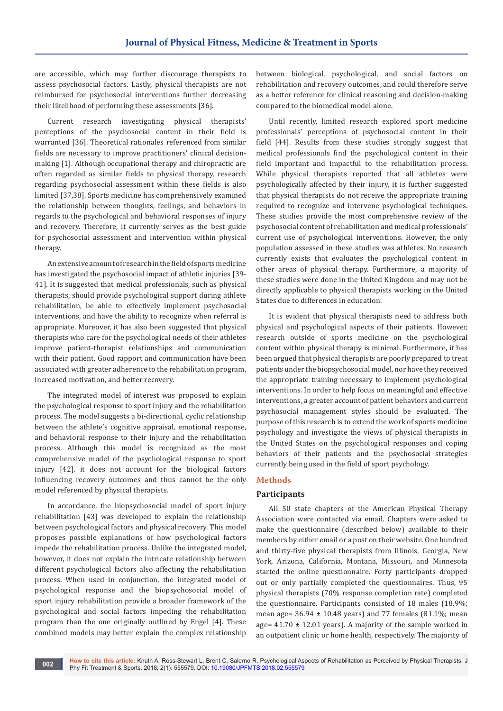are accessible, which may further discourage therapists to assess psychosocial factors. Lastly, physical therapists are not reimbursed for psychosocial interventions further decreasing their likelihood of performing these assessments [36].

Current research investigating physical therapists' perceptions of the psychosocial content in their field is warranted [36]. Theoretical rationales referenced from similar fields are necessary to improve practitioners' clinical decisionmaking [1]. Although occupational therapy and chiropractic are often regarded as similar fields to physical therapy, research regarding psychosocial assessment within these fields is also limited [37,38]. Sports medicine has comprehensively examined the relationship between thoughts, feelings, and behaviors in regards to the psychological and behavioral responses of injury and recovery. Therefore, it currently serves as the best guide for psychosocial assessment and intervention within physical therapy.

An extensive amount of research in the field of sports medicine has investigated the psychosocial impact of athletic injuries [39- 41]. It is suggested that medical professionals, such as physical therapists, should provide psychological support during athlete rehabilitation, be able to effectively implement psychosocial interventions, and have the ability to recognize when referral is appropriate. Moreover, it has also been suggested that physical therapists who care for the psychological needs of their athletes improve patient-therapist relationships and communication with their patient. Good rapport and communication have been associated with greater adherence to the rehabilitation program, increased motivation, and better recovery.

The integrated model of interest was proposed to explain the psychological response to sport injury and the rehabilitation process. The model suggests a bi-directional, cyclic relationship between the athlete's cognitive appraisal, emotional response, and behavioral response to their injury and the rehabilitation process. Although this model is recognized as the most comprehensive model of the psychological response to sport injury [42], it does not account for the biological factors influencing recovery outcomes and thus cannot be the only model referenced by physical therapists.

In accordance, the biopsychosocial model of sport injury rehabilitation [43] was developed to explain the relationship between psychological factors and physical recovery. This model proposes possible explanations of how psychological factors impede the rehabilitation process. Unlike the integrated model, however, it does not explain the intricate relationship between different psychological factors also affecting the rehabilitation process. When used in conjunction, the integrated model of psychological response and the biopsychosocial model of sport injury rehabilitation provide a broader framework of the psychological and social factors impeding the rehabilitation program than the one originally outlined by Engel [4]. These combined models may better explain the complex relationship

between biological, psychological, and social factors on rehabilitation and recovery outcomes, and could therefore serve as a better reference for clinical reasoning and decision-making compared to the biomedical model alone.

Until recently, limited research explored sport medicine professionals' perceptions of psychosocial content in their field [44]. Results from these studies strongly suggest that medical professionals find the psychological content in their field important and impactful to the rehabilitation process. While physical therapists reported that all athletes were psychologically affected by their injury, it is further suggested that physical therapists do not receive the appropriate training required to recognize and intervene psychological techniques. These studies provide the most comprehensive review of the psychosocial content of rehabilitation and medical professionals' current use of psychological interventions. However, the only population assessed in these studies was athletes. No research currently exists that evaluates the psychological content in other areas of physical therapy. Furthermore, a majority of these studies were done in the United Kingdom and may not be directly applicable to physical therapists working in the United States due to differences in education.

It is evident that physical therapists need to address both physical and psychological aspects of their patients. However, research outside of sports medicine on the psychological content within physical therapy is minimal. Furthermore, it has been argued that physical therapists are poorly prepared to treat patients under the biopsychosocial model, nor have they received the appropriate training necessary to implement psychological interventions. In order to help focus on meaningful and effective interventions, a greater account of patient behaviors and current psychosocial management styles should be evaluated. The purpose of this research is to extend the work of sports medicine psychology and investigate the views of physical therapists in the United States on the psychological responses and coping behaviors of their patients and the psychosocial strategies currently being used in the field of sport psychology.

## **Methods**

#### **Participants**

All 50 state chapters of the American Physical Therapy Association were contacted via email. Chapters were asked to make the questionnaire (described below) available to their members by either email or a post on their website. One hundred and thirty-five physical therapists from Illinois, Georgia, New York, Arizona, California, Montana, Missouri, and Minnesota started the online questionnaire. Forty participants dropped out or only partially completed the questionnaires. Thus, 95 physical therapists (70% response completion rate) completed the questionnaire. Participants consisted of 18 males (18.9%; mean age=  $36.94 \pm 10.48$  years) and 77 females (81.1%; mean age=  $41.70 \pm 12.01$  years). A majority of the sample worked in an outpatient clinic or home health, respectively. The majority of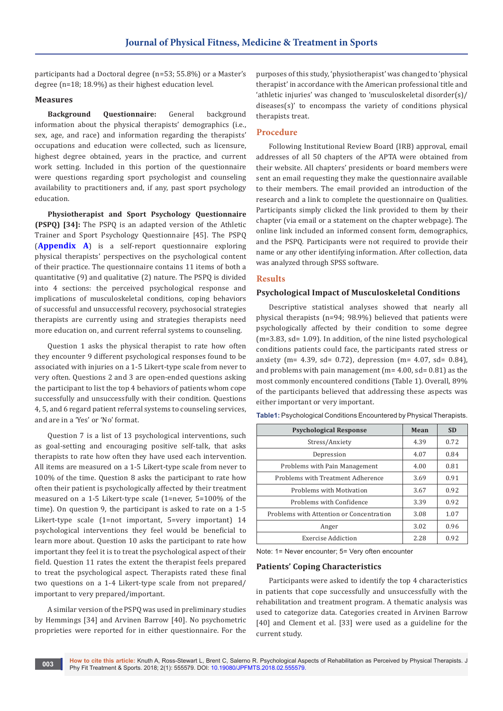participants had a Doctoral degree (n=53; 55.8%) or a Master's degree (n=18; 18.9%) as their highest education level.

#### **Measures**

**Background Questionnaire:** General background information about the physical therapists' demographics (i.e., sex, age, and race) and information regarding the therapists' occupations and education were collected, such as licensure, highest degree obtained, years in the practice, and current work setting. Included in this portion of the questionnaire were questions regarding sport psychologist and counseling availability to practitioners and, if any, past sport psychology education.

**Physiotherapist and Sport Psychology Questionnaire (PSPQ) [34]:** The PSPQ is an adapted version of the Athletic Trainer and Sport Psychology Questionnaire [45]. The PSPQ (**[Appendix A](https://juniperpublishers.com/jpfmts/pdf/Appendix.pdf)**) is a self-report questionnaire exploring physical therapists' perspectives on the psychological content of their practice. The questionnaire contains 11 items of both a quantitative (9) and qualitative (2) nature. The PSPQ is divided into 4 sections: the perceived psychological response and implications of musculoskeletal conditions, coping behaviors of successful and unsuccessful recovery, psychosocial strategies therapists are currently using and strategies therapists need more education on, and current referral systems to counseling.

Question 1 asks the physical therapist to rate how often they encounter 9 different psychological responses found to be associated with injuries on a 1-5 Likert-type scale from never to very often. Questions 2 and 3 are open-ended questions asking the participant to list the top 4 behaviors of patients whom cope successfully and unsuccessfully with their condition. Questions 4, 5, and 6 regard patient referral systems to counseling services, and are in a 'Yes' or 'No' format.

Question 7 is a list of 13 psychological interventions, such as goal-setting and encouraging positive self-talk, that asks therapists to rate how often they have used each intervention. All items are measured on a 1-5 Likert-type scale from never to 100% of the time. Question 8 asks the participant to rate how often their patient is psychologically affected by their treatment measured on a 1-5 Likert-type scale (1=never, 5=100% of the time). On question 9, the participant is asked to rate on a 1-5 Likert-type scale (1=not important, 5=very important) 14 psychological interventions they feel would be beneficial to learn more about. Question 10 asks the participant to rate how important they feel it is to treat the psychological aspect of their field. Question 11 rates the extent the therapist feels prepared to treat the psychological aspect. Therapists rated these final two questions on a 1-4 Likert-type scale from not prepared/ important to very prepared/important.

A similar version of the PSPQ was used in preliminary studies by Hemmings [34] and Arvinen Barrow [40]. No psychometric proprieties were reported for in either questionnaire. For the purposes of this study, 'physiotherapist' was changed to 'physical therapist' in accordance with the American professional title and 'athletic injuries' was changed to 'musculoskeletal disorder(s)/ diseases(s)' to encompass the variety of conditions physical therapists treat.

#### **Procedure**

Following Institutional Review Board (IRB) approval, email addresses of all 50 chapters of the APTA were obtained from their website. All chapters' presidents or board members were sent an email requesting they make the questionnaire available to their members. The email provided an introduction of the research and a link to complete the questionnaire on Qualities. Participants simply clicked the link provided to them by their chapter (via email or a statement on the chapter webpage). The online link included an informed consent form, demographics, and the PSPQ. Participants were not required to provide their name or any other identifying information. After collection, data was analyzed through SPSS software.

#### **Results**

#### **Psychological Impact of Musculoskeletal Conditions**

Descriptive statistical analyses showed that nearly all physical therapists (n=94; 98.9%) believed that patients were psychologically affected by their condition to some degree (m=3.83, sd= 1.09). In addition, of the nine listed psychological conditions patients could face, the participants rated stress or anxiety (m= 4.39, sd= 0.72), depression (m= 4.07, sd= 0.84), and problems with pain management ( $m= 4.00$ , sd= 0.81) as the most commonly encountered conditions (Table 1). Overall, 89% of the participants believed that addressing these aspects was either important or very important.

| <b>Psychological Response</b>            | Mean | <b>SD</b> |
|------------------------------------------|------|-----------|
| Stress/Anxiety                           | 4.39 | 0.72      |
| Depression                               | 4.07 | 0.84      |
| Problems with Pain Management            | 4.00 | 0.81      |
| Problems with Treatment Adherence        | 3.69 | 0.91      |
| Problems with Motivation                 | 3.67 | 0.92      |
| Problems with Confidence                 | 3.39 | 0.92      |
| Problems with Attention or Concentration | 3.08 | 1.07      |
| Anger                                    | 3.02 | 0.96      |
| Exercise Addiction                       | 2.28 | 0.92      |

**Table1:** Psychological Conditions Encountered by Physical Therapists.

Note: 1= Never encounter; 5= Very often encounter

#### **Patients' Coping Characteristics**

Participants were asked to identify the top 4 characteristics in patients that cope successfully and unsuccessfully with the rehabilitation and treatment program. A thematic analysis was used to categorize data. Categories created in Arvinen Barrow [40] and Clement et al. [33] were used as a guideline for the current study.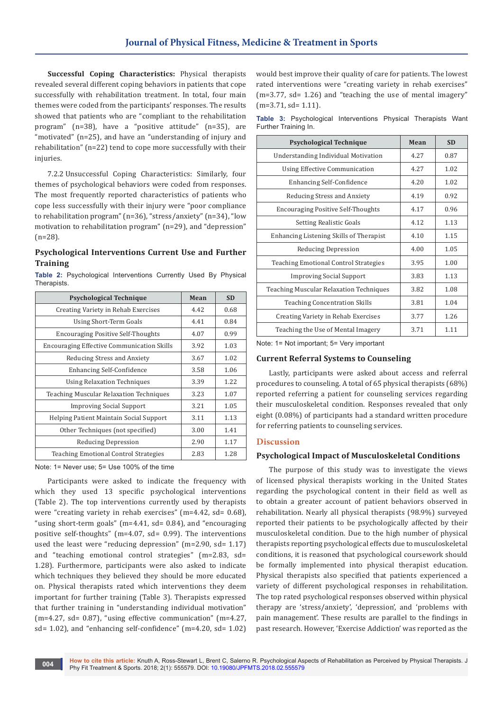**Successful Coping Characteristics:** Physical therapists revealed several different coping behaviors in patients that cope successfully with rehabilitation treatment. In total, four main themes were coded from the participants' responses. The results showed that patients who are "compliant to the rehabilitation program" (n=38), have a "positive attitude" (n=35), are "motivated" (n=25), and have an "understanding of injury and rehabilitation" (n=22) tend to cope more successfully with their injuries.

7.2.2 Unsuccessful Coping Characteristics: Similarly, four themes of psychological behaviors were coded from responses. The most frequently reported characteristics of patients who cope less successfully with their injury were "poor compliance to rehabilitation program" (n=36), "stress/anxiety" (n=34), "low motivation to rehabilitation program" (n=29), and "depression" (n=28).

# **Psychological Interventions Current Use and Further Training**

**Table 2:** Psychological Interventions Currently Used By Physical Therapists.

| <b>Psychological Technique</b>                    | Mean | <b>SD</b> |
|---------------------------------------------------|------|-----------|
| Creating Variety in Rehab Exercises               | 4.42 | 0.68      |
| Using Short-Term Goals                            | 4.41 | 0.84      |
| <b>Encouraging Positive Self-Thoughts</b>         | 4.07 | 0.99      |
| <b>Encouraging Effective Communication Skills</b> | 3.92 | 1.03      |
| Reducing Stress and Anxiety                       | 3.67 | 1.02      |
| <b>Enhancing Self-Confidence</b>                  | 3.58 | 1.06      |
| <b>Using Relaxation Techniques</b>                | 3.39 | 1.22      |
| Teaching Muscular Relaxation Techniques           | 3.23 | 1.07      |
| <b>Improving Social Support</b>                   | 3.21 | 1.05      |
| Helping Patient Maintain Social Support           | 3.11 | 1.13      |
| Other Techniques (not specified)                  | 3.00 | 1.41      |
| Reducing Depression                               | 2.90 | 1.17      |
| <b>Teaching Emotional Control Strategies</b>      | 2.83 | 1.28      |

Note: 1= Never use; 5= Use 100% of the time

Participants were asked to indicate the frequency with which they used 13 specific psychological interventions (Table 2). The top interventions currently used by therapists were "creating variety in rehab exercises" (m=4.42, sd= 0.68), "using short-term goals" (m=4.41, sd= 0.84), and "encouraging positive self-thoughts" (m=4.07, sd= 0.99). The interventions used the least were "reducing depression"  $(m=2.90, sd=1.17)$ and "teaching emotional control strategies" (m=2.83, sd= 1.28). Furthermore, participants were also asked to indicate which techniques they believed they should be more educated on. Physical therapists rated which interventions they deem important for further training (Table 3). Therapists expressed that further training in "understanding individual motivation" (m=4.27, sd= 0.87), "using effective communication" (m=4.27, sd= 1.02), and "enhancing self-confidence" (m=4.20, sd= 1.02)

would best improve their quality of care for patients. The lowest rated interventions were "creating variety in rehab exercises"  $(m=3.77, sd= 1.26)$  and "teaching the use of mental imagery" (m=3.71, sd= 1.11).

**Table 3:** Psychological Interventions Physical Therapists Want Further Training In.

| <b>Psychological Technique</b>                 | Mean | <b>SD</b> |
|------------------------------------------------|------|-----------|
| Understanding Individual Motivation            | 4.27 | 0.87      |
| <b>Using Effective Communication</b>           | 4.27 | 1.02      |
| <b>Enhancing Self-Confidence</b>               | 4.20 | 1.02      |
| Reducing Stress and Anxiety                    | 4.19 | 0.92      |
| <b>Encouraging Positive Self-Thoughts</b>      | 4.17 | 0.96      |
| Setting Realistic Goals                        | 4.12 | 1.13      |
| Enhancing Listening Skills of Therapist        | 4.10 | 1.15      |
| Reducing Depression                            | 4.00 | 1.05      |
| <b>Teaching Emotional Control Strategies</b>   | 3.95 | 1.00      |
| <b>Improving Social Support</b>                | 3.83 | 1.13      |
| <b>Teaching Muscular Relaxation Techniques</b> | 3.82 | 1.08      |
| <b>Teaching Concentration Skills</b>           | 3.81 | 1.04      |
| Creating Variety in Rehab Exercises            | 3.77 | 1.26      |
| Teaching the Use of Mental Imagery             | 3.71 | 1.11      |

Note: 1= Not important; 5= Very important

### **Current Referral Systems to Counseling**

Lastly, participants were asked about access and referral procedures to counseling. A total of 65 physical therapists (68%) reported referring a patient for counseling services regarding their musculoskeletal condition. Responses revealed that only eight (0.08%) of participants had a standard written procedure for referring patients to counseling services.

## **Discussion**

#### **Psychological Impact of Musculoskeletal Conditions**

The purpose of this study was to investigate the views of licensed physical therapists working in the United States regarding the psychological content in their field as well as to obtain a greater account of patient behaviors observed in rehabilitation. Nearly all physical therapists (98.9%) surveyed reported their patients to be psychologically affected by their musculoskeletal condition. Due to the high number of physical therapists reporting psychological effects due to musculoskeletal conditions, it is reasoned that psychological coursework should be formally implemented into physical therapist education. Physical therapists also specified that patients experienced a variety of different psychological responses in rehabilitation. The top rated psychological responses observed within physical therapy are 'stress/anxiety', 'depression', and 'problems with pain management'. These results are parallel to the findings in past research. However, 'Exercise Addiction' was reported as the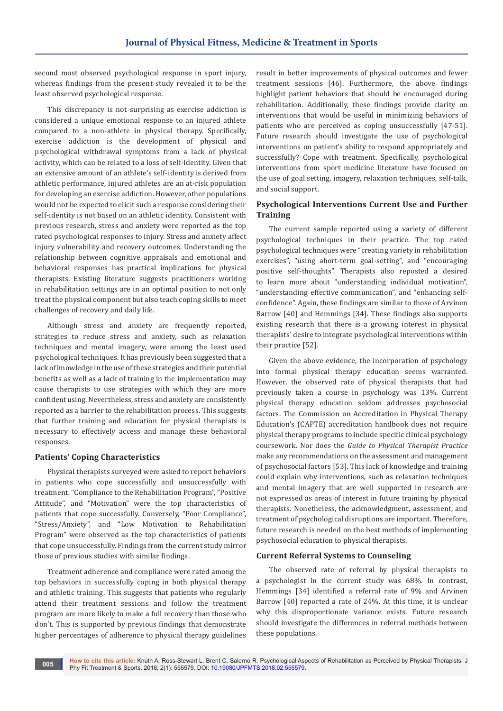second most observed psychological response in sport injury, whereas findings from the present study revealed it to be the least observed psychological response.

This discrepancy is not surprising as exercise addiction is considered a unique emotional response to an injured athlete compared to a non-athlete in physical therapy. Specifically, exercise addiction is the development of physical and psychological withdrawal symptoms from a lack of physical activity, which can be related to a loss of self-identity. Given that an extensive amount of an athlete's self-identity is derived from athletic performance, injured athletes are an at-risk population for developing an exercise addiction. However, other populations would not be expected to elicit such a response considering their self-identity is not based on an athletic identity. Consistent with previous research, stress and anxiety were reported as the top rated psychological responses to injury. Stress and anxiety affect injury vulnerability and recovery outcomes. Understanding the relationship between cognitive appraisals and emotional and behavioral responses has practical implications for physical therapists. Existing literature suggests practitioners working in rehabilitation settings are in an optimal position to not only treat the physical component but also teach coping skills to meet challenges of recovery and daily life.

Although stress and anxiety are frequently reported, strategies to reduce stress and anxiety, such as relaxation techniques and mental imagery, were among the least used psychological techniques. It has previously been suggested that a lack of knowledge in the use of these strategies and their potential benefits as well as a lack of training in the implementation may cause therapists to use strategies with which they are more confident using. Nevertheless, stress and anxiety are consistently reported as a barrier to the rehabilitation process. This suggests that further training and education for physical therapists is necessary to effectively access and manage these behavioral responses.

## **Patients' Coping Characteristics**

Physical therapists surveyed were asked to report behaviors in patients who cope successfully and unsuccessfully with treatment. "Compliance to the Rehabilitation Program", "Positive Attitude", and "Motivation" were the top characteristics of patients that cope successfully. Conversely, "Poor Compliance", "Stress/Anxiety", and "Low Motivation to Rehabilitation Program" were observed as the top characteristics of patients that cope unsuccessfully. Findings from the current study mirror those of previous studies with similar findings.

Treatment adherence and compliance were rated among the top behaviors in successfully coping in both physical therapy and athletic training. This suggests that patients who regularly attend their treatment sessions and follow the treatment program are more likely to make a full recovery than those who don't. This is supported by previous findings that demonstrate higher percentages of adherence to physical therapy guidelines

result in better improvements of physical outcomes and fewer treatment sessions [46]. Furthermore, the above findings highlight patient behaviors that should be encouraged during rehabilitation. Additionally, these findings provide clarity on interventions that would be useful in minimizing behaviors of patients who are perceived as coping unsuccessfully [47-51]. Future research should investigate the use of psychological interventions on patient's ability to respond appropriately and successfully? Cope with treatment. Specifically, psychological interventions from sport medicine literature have focused on the use of goal setting, imagery, relaxation techniques, self-talk, and social support.

## **Psychological Interventions Current Use and Further Training**

The current sample reported using a variety of different psychological techniques in their practice. The top rated psychological techniques were "creating variety in rehabilitation exercises", "using ahort-term goal-setting", and "encouraging positive self-thoughts". Therapists also reposted a desired to learn more about "understanding individual motivation", "understanding effective communication", and "enhancing selfconfidence". Again, these findings are similar to those of Arvinen Barrow [40] and Hemmings [34]. These findings also supports existing research that there is a growing interest in physical therapists' desire to integrate psychological interventions within their practice [52].

Given the above evidence, the incorporation of psychology into formal physical therapy education seems warranted. However, the observed rate of physical therapists that had previously taken a course in psychology was 13%. Current physical therapy education seldom addresses psychosocial factors. The Commission on Accreditation in Physical Therapy Education's (CAPTE) accreditation handbook does not require physical therapy programs to include specific clinical psychology coursework. Nor does the *Guide to Physical Therapist Practice* make any recommendations on the assessment and management of psychosocial factors [53]. This lack of knowledge and training could explain why interventions, such as relaxation techniques and mental imagery that are well supported in research are not expressed as areas of interest in future training by physical therapists. Nonetheless, the acknowledgment, assessment, and treatment of psychological disruptions are important. Therefore, future research is needed on the best methods of implementing psychosocial education to physical therapists.

#### **Current Referral Systems to Counseling**

The observed rate of referral by physical therapists to a psychologist in the current study was 68%. In contrast, Hemmings [34] identified a referral rate of 9% and Arvinen Barrow [40] reported a rate of 24%. At this time, it is unclear why this disproportionate variance exists. Future research should investigate the differences in referral methods between these populations.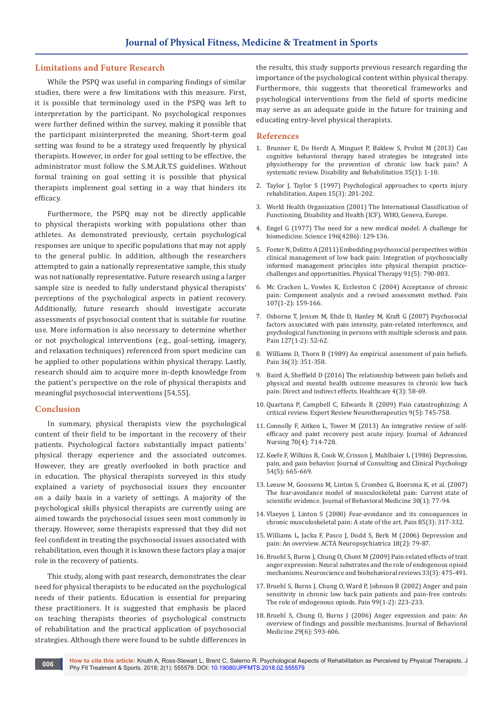### **Limitations and Future Research**

While the PSPQ was useful in comparing findings of similar studies, there were a few limitations with this measure. First, it is possible that terminology used in the PSPQ was left to interpretation by the participant. No psychological responses were further defined within the survey, making it possible that the participant misinterpreted the meaning. Short-term goal setting was found to be a strategy used frequently by physical therapists. However, in order for goal setting to be effective, the administrator must follow the S.M.A.R.T.S guidelines. Without formal training on goal setting it is possible that physical therapists implement goal setting in a way that hinders its efficacy.

Furthermore, the PSPQ may not be directly applicable to physical therapists working with populations other than athletes. As demonstrated previously, certain psychological responses are unique to specific populations that may not apply to the general public. In addition, although the researchers attempted to gain a nationally representative sample, this study was not nationally representative. Future research using a larger sample size is needed to fully understand physical therapists' perceptions of the psychological aspects in patient recovery. Additionally, future research should investigate accurate assessments of psychosocial content that is suitable for routine use. More information is also necessary to determine whether or not psychological interventions (e.g., goal-setting, imagery, and relaxation techniques) referenced from sport medicine can be applied to other populations within physical therapy. Lastly, research should aim to acquire more in-depth knowledge from the patient's perspective on the role of physical therapists and meaningful psychosocial interventions [54,55].

#### **Conclusion**

In summary, physical therapists view the psychological content of their field to be important in the recovery of their patients. Psychological factors substantially impact patients' physical therapy experience and the associated outcomes. However, they are greatly overlooked in both practice and in education. The physical therapists surveyed in this study explained a variety of psychosocial issues they encounter on a daily basis in a variety of settings. A majority of the psychological skills physical therapists are currently using are aimed towards the psychosocial issues seen most commonly in therapy. However, some therapists expressed that they did not feel confident in treating the psychosocial issues associated with rehabilitation, even though it is known these factors play a major role in the recovery of patients.

This study, along with past research, demonstrates the clear need for physical therapists to be educated on the psychological needs of their patients. Education is essential for preparing these practitioners. It is suggested that emphasis be placed on teaching therapists theories of psychological constructs of rehabilitation and the practical application of psychosocial strategies. Although there were found to be subtle differences in

the results, this study supports previous research regarding the importance of the psychological content within physical therapy. Furthermore, this suggests that theoretical frameworks and psychological interventions from the field of sports medicine may serve as an adequate guide in the future for training and educating entry-level physical therapists.

#### **References**

- 1. [Brunner E, De Herdt A, Minguet P, Baldew S, Probst M \(2013\) Can](https://www.ncbi.nlm.nih.gov/pubmed/22607157)  [cognitive behavioral therapy based strategies be integrated into](https://www.ncbi.nlm.nih.gov/pubmed/22607157)  [physiotherapy for the prevention of chronic low back pain? A](https://www.ncbi.nlm.nih.gov/pubmed/22607157)  [systematic review. Disability and Rehabilitation 35\(1\): 1-10.](https://www.ncbi.nlm.nih.gov/pubmed/22607157)
- 2. [Taylor J, Taylor S \(1997\) Psychological approaches to sports injury](http://onlinelibrary.wiley.com/doi/10.1002/(SICI)1099-1700(199907)15:3%3C201::AID-SMI826%3E3.0.CO;2-F/abstract)  [rehabilitation. Aspen 15\(3\): 201-202.](http://onlinelibrary.wiley.com/doi/10.1002/(SICI)1099-1700(199907)15:3%3C201::AID-SMI826%3E3.0.CO;2-F/abstract)
- 3. [World Health Organization \(2001\) The International Classification of](http://www.who.int/classifications/icf/en/)  [Functioning, Disability and Health \(ICF\). WHO, Geneva, Europe.](http://www.who.int/classifications/icf/en/)
- 4. [Engel G \(1977\) The need for a new medical model: A challenge for](https://www.ncbi.nlm.nih.gov/pubmed/847460)  [biomedicine. Science 196\(4286\): 129-136.](https://www.ncbi.nlm.nih.gov/pubmed/847460)
- 5. [Foster N, Delitto A \(2011\) Embedding psychosocial perspectives within](https://www.ncbi.nlm.nih.gov/pubmed/21451095)  [clinical management of low back pain: Integration of psychosocially](https://www.ncbi.nlm.nih.gov/pubmed/21451095)  [informed management principles into physical therapist practice](https://www.ncbi.nlm.nih.gov/pubmed/21451095)[challenges and opportunities. Physical Therapy 91\(5\): 790-803.](https://www.ncbi.nlm.nih.gov/pubmed/21451095)
- 6. [Mc Cracken L, Vowles K, Eccleston C \(2004\) Acceptance of chronic](https://www.ncbi.nlm.nih.gov/pubmed/14715402)  [pain: Component analysis and a revised assessment method. Pain](https://www.ncbi.nlm.nih.gov/pubmed/14715402)  [107\(1-2\): 159-166.](https://www.ncbi.nlm.nih.gov/pubmed/14715402)
- 7. [Osborne T, Jensen M, Ehde D, Hanley M, Kraft G \(2007\) Psychosocial](https://www.ncbi.nlm.nih.gov/pubmed/16950570)  [factors associated with pain intensity, pain-related interference, and](https://www.ncbi.nlm.nih.gov/pubmed/16950570)  [psychological functioning in persons with multiple sclerosis and pain.](https://www.ncbi.nlm.nih.gov/pubmed/16950570)  [Pain 127\(1-2\): 52-62.](https://www.ncbi.nlm.nih.gov/pubmed/16950570)
- 8. [Williams D, Thorn B \(1989\) An empirical assessment of pain beliefs.](https://www.ncbi.nlm.nih.gov/pubmed/2710564)  [Pain 36\(3\): 351-358.](https://www.ncbi.nlm.nih.gov/pubmed/2710564)
- 9. [Baird A, Sheffield D \(2016\) The relationship between pain beliefs and](https://www.ncbi.nlm.nih.gov/pubmed/27548244)  [physical and mental health outcome measures in chronic low back](https://www.ncbi.nlm.nih.gov/pubmed/27548244)  [pain: Direct and indirect effects. Healthcare 4\(3\): 58-69.](https://www.ncbi.nlm.nih.gov/pubmed/27548244)
- 10. [Quartana P, Campbell C, Edwards R \(2009\) Pain catastrophizing: A](https://www.ncbi.nlm.nih.gov/pmc/articles/PMC2696024/)  [critical review. Expert Review Neurotherapeutics 9\(5\): 745-758.](https://www.ncbi.nlm.nih.gov/pmc/articles/PMC2696024/)
- 11. [Connolly F, Aitken L, Tower M \(2013\) An integrative review of self](https://www.ncbi.nlm.nih.gov/pubmed/24001198)[efficacy and paint recovery post acute injury. Journal of Advanced](https://www.ncbi.nlm.nih.gov/pubmed/24001198)  [Nursing 70\(4\): 714-728.](https://www.ncbi.nlm.nih.gov/pubmed/24001198)
- 12. [Keefe F, Wilkins R, Cook W, Crisson J, Muhlbaier L \(1986\) Depression,](https://www.ncbi.nlm.nih.gov/pubmed/2945848)  [pain, and pain behavior. Journal of Consulting and Clinical Psychology](https://www.ncbi.nlm.nih.gov/pubmed/2945848)  [54\(5\): 665-669.](https://www.ncbi.nlm.nih.gov/pubmed/2945848)
- 13. [Leeuw M, Goossens M, Linton S, Crombez G, Boersma K, et al. \(2007\)](https://www.ncbi.nlm.nih.gov/pubmed/17180640)  [The fear-avoidance model of musculoskeletal pain: Current state of](https://www.ncbi.nlm.nih.gov/pubmed/17180640)  [scientific evidence. Journal of Behavioral Medicine 30\(1\): 77-94.](https://www.ncbi.nlm.nih.gov/pubmed/17180640)
- 14. [Vlaeyen J, Linton S \(2000\) Fear-avoidance and its consequences in](https://www.ncbi.nlm.nih.gov/pubmed/10781906)  [chronic musculoskeletal pain: A state of the art. Pain 85\(3\): 317-332.](https://www.ncbi.nlm.nih.gov/pubmed/10781906)
- 15. [Williams L, Jacka F, Pasco J, Dodd S, Berk M \(2006\) Depression and](http://onlinelibrary.wiley.com/doi/10.1111/j.1601-5215.2006.00130.x/abstract)  [pain: An overview. ACTA Neuropsychiatrica 18\(2\): 79-87.](http://onlinelibrary.wiley.com/doi/10.1111/j.1601-5215.2006.00130.x/abstract)
- 16. [Bruehl S, Burns J, Chung O, Chont M \(2009\) Pain-related effects of trait](https://www.ncbi.nlm.nih.gov/pubmed/19146872)  [anger expression: Neural substrates and the role of endogenous opioid](https://www.ncbi.nlm.nih.gov/pubmed/19146872)  [mechanisms. Neuroscience and biobehavioral reviews 33\(3\): 475-491.](https://www.ncbi.nlm.nih.gov/pubmed/19146872)
- 17. [Bruehl S, Burns J, Chung O, Ward P, Johnson B \(2002\) Anger and pain](https://www.ncbi.nlm.nih.gov/pubmed/12237200)  [sensitivity in chronic low back pain patients and pain-free controls:](https://www.ncbi.nlm.nih.gov/pubmed/12237200)  [The role of endogenous opiods. Pain 99\(1-2\): 223-233.](https://www.ncbi.nlm.nih.gov/pubmed/12237200)
- 18. [Bruehl S, Chung O, Burns J \(2006\) Anger expression and pain: An](https://www.ncbi.nlm.nih.gov/pubmed/16807797)  [overview of findings and possible mechanisms. Journal of Behavioral](https://www.ncbi.nlm.nih.gov/pubmed/16807797)  [Medicine 29\(6\): 593-606.](https://www.ncbi.nlm.nih.gov/pubmed/16807797)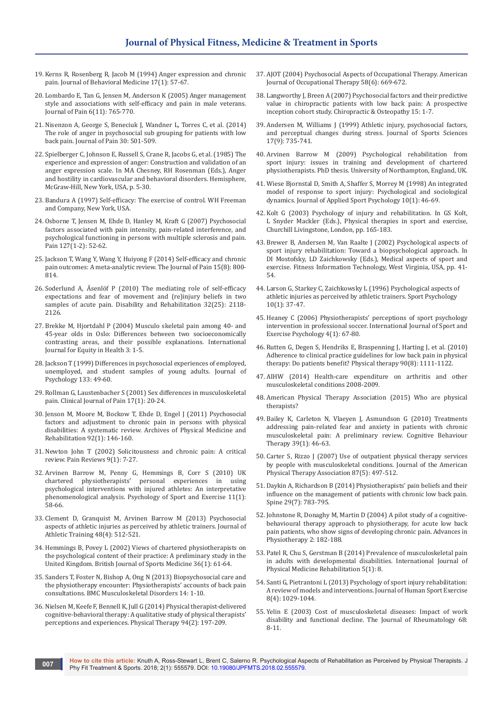- 19. [Kerns R, Rosenberg R, Jacob M \(1994\) Anger expression and chronic](https://www.ncbi.nlm.nih.gov/pubmed/8201612)  [pain. Journal of Behavioral Medicine 17\(1\): 57-67.](https://www.ncbi.nlm.nih.gov/pubmed/8201612)
- 20. [Lombardo E, Tan G, Jensen M, Anderson K \(2005\) Anger management](https://www.ncbi.nlm.nih.gov/pubmed/16275601)  [style and associations with self-efficacy and pain in male veterans.](https://www.ncbi.nlm.nih.gov/pubmed/16275601)  [Journal of Pain 6\(11\): 765-770.](https://www.ncbi.nlm.nih.gov/pubmed/16275601)
- 21. [Nisenzon A, George S, Beneciuk J, Wandner L, Torres C, et al. \(2014\)](https://www.ncbi.nlm.nih.gov/pmc/articles/PMC4013172/)  [The role of anger in psychosocial sub grouping for patients with low](https://www.ncbi.nlm.nih.gov/pmc/articles/PMC4013172/)  [back pain. Journal of Pain 30: 501-509.](https://www.ncbi.nlm.nih.gov/pmc/articles/PMC4013172/)
- 22. Spielberger C, Johnson E, Russell S, Crane R, Jacobs G, et al. (1985) The experience and expression of anger: Construction and validation of an anger expression scale. In MA Chesney, RH Rosenman (Eds.), Anger and hostility in cardiovascular and behavioral disorders. Hemisphere, McGraw-Hill, New York, USA, p. 5-30.
- 23. [Bandura A \(1997\) Self-efficacy: The exercise of control. WH Freeman](http://psycnet.apa.org/record/1997-08589-000)  [and Company, New York, USA.](http://psycnet.apa.org/record/1997-08589-000)
- 24. [Osborne T, Jensen M, Ehde D, Hanley M, Kraft G \(2007\) Psychosocial](https://www.ncbi.nlm.nih.gov/pubmed/16950570)  [factors associated with pain intensity, pain-related interference, and](https://www.ncbi.nlm.nih.gov/pubmed/16950570)  [psychological functioning in persons with multiple sclerosis and pain.](https://www.ncbi.nlm.nih.gov/pubmed/16950570)  [Pain 127\(1-2\): 52-62.](https://www.ncbi.nlm.nih.gov/pubmed/16950570)
- 25. [Jackson T, Wang Y, Wang Y, Huiyong F \(2014\) Self-efficacy and chronic](https://www.ncbi.nlm.nih.gov/pubmed/24878675)  [pain outcomes: A meta-analytic review. The Journal of Pain 15\(8\): 800-](https://www.ncbi.nlm.nih.gov/pubmed/24878675) [814.](https://www.ncbi.nlm.nih.gov/pubmed/24878675)
- 26. Soderlund A, Äsenlö[f P \(2010\) The mediating role of self-efficacy](https://www.ncbi.nlm.nih.gov/pubmed/20443673)  [expectations and fear of movement and \(re\)injury beliefs in two](https://www.ncbi.nlm.nih.gov/pubmed/20443673)  [samples of acute pain. Disability and Rehabilitation 32\(25\): 2118-](https://www.ncbi.nlm.nih.gov/pubmed/20443673) [2126.](https://www.ncbi.nlm.nih.gov/pubmed/20443673)
- 27. [Brekke M, Hjortdahl P \(2004\) Musculo skeletal pain among 40- and](https://www.ncbi.nlm.nih.gov/pmc/articles/PMC529299/)  [45-year olds in Oslo: Differences between two socioeconomically](https://www.ncbi.nlm.nih.gov/pmc/articles/PMC529299/)  [contrasting areas, and their possible explanations. International](https://www.ncbi.nlm.nih.gov/pmc/articles/PMC529299/)  [Journal for Equity in Health 3: 1-5.](https://www.ncbi.nlm.nih.gov/pmc/articles/PMC529299/)
- 28. [Jackson T \(1999\) Differences in psychosocial experiences of employed,](http://www.tandfonline.com/doi/abs/10.1080/00223989909599721)  [unemployed, and student samples of young adults. Journal of](http://www.tandfonline.com/doi/abs/10.1080/00223989909599721)  [Psychology 133: 49-60.](http://www.tandfonline.com/doi/abs/10.1080/00223989909599721)
- 29. [Rollman G, Laustenbacher S \(2001\) Sex differences in musculoskeletal](https://www.ncbi.nlm.nih.gov/pubmed/11289085)  [pain. Clinical Journal of Pain 17\(1\): 20-24.](https://www.ncbi.nlm.nih.gov/pubmed/11289085)
- 30. [Jenson M, Moore M, Bockow T, Ehde D, Engel J \(2011\) Psychosocial](https://www.ncbi.nlm.nih.gov/pubmed/21187217)  [factors and adjustment to chronic pain in persons with physical](https://www.ncbi.nlm.nih.gov/pubmed/21187217)  [disabilities: A systematic review. Archives of Physical Medicine and](https://www.ncbi.nlm.nih.gov/pubmed/21187217)  [Rehabilitation 92\(1\): 146-160](https://www.ncbi.nlm.nih.gov/pubmed/21187217).
- 31. [Newton John T \(2002\) Solicitousness and chronic pain: A critical](http://psycnet.apa.org/record/2003-10264-001)  [review. Pain Reviews 9\(1\): 7-27.](http://psycnet.apa.org/record/2003-10264-001)
- 32. [Arvinen Barrow M, Penny G, Hemmings B, Corr S \(2010\) UK](https://www.sciencedirect.com/science/article/pii/S1469029209000661)  [chartered physiotherapists' personal experiences in using](https://www.sciencedirect.com/science/article/pii/S1469029209000661)  [psychological interventions with injured athletes: An interpretative](https://www.sciencedirect.com/science/article/pii/S1469029209000661)  [phenomenological analysis. Psychology of Sport and Exercise 11\(1\):](https://www.sciencedirect.com/science/article/pii/S1469029209000661)  [58-66.](https://www.sciencedirect.com/science/article/pii/S1469029209000661)
- 33. [Clement D, Granquist M, Arvinen Barrow M \(2013\) Psychosocial](https://www.ncbi.nlm.nih.gov/pubmed/23724772)  [aspects of athletic injuries as perceived by athletic trainers. Journal of](https://www.ncbi.nlm.nih.gov/pubmed/23724772)  [Athletic Training 48\(4\): 512-521.](https://www.ncbi.nlm.nih.gov/pubmed/23724772)
- 34. [Hemmings B, Povey L \(2002\) Views of chartered physiotherapists on](https://www.ncbi.nlm.nih.gov/pubmed/11867495)  [the psychological content of their practice: A preliminary study in the](https://www.ncbi.nlm.nih.gov/pubmed/11867495)  [United Kingdom. British Journal of Sports Medicine 36\(1\): 61-64.](https://www.ncbi.nlm.nih.gov/pubmed/11867495)
- 35. [Sanders T, Foster N, Bishop A, Ong N \(2013\) Biopsychosocial care and](https://www.ncbi.nlm.nih.gov/pubmed/23421415)  [the physiotherapy encounter: Physiotherapists' accounts of back pain](https://www.ncbi.nlm.nih.gov/pubmed/23421415)  [consultations. BMC Musculoskeletal Disorders 14: 1-10.](https://www.ncbi.nlm.nih.gov/pubmed/23421415)
- 36. [Nielsen M, Keefe F, Bennell K, Jull G \(2014\) Physical therapist-delivered](https://www.ncbi.nlm.nih.gov/pubmed/24029300)  [cognitive-behavioral therapy: A qualitative study of physical therapists'](https://www.ncbi.nlm.nih.gov/pubmed/24029300)  [perceptions and experiences. Physical Therapy 94\(2\): 197-209.](https://www.ncbi.nlm.nih.gov/pubmed/24029300)
- 37. [AJOT \(2004\) Psychosocial Aspects of Occupational Therapy. American](https://www.ncbi.nlm.nih.gov/pubmed/15568555)  [Journal of Occupational Therapy 58\(6\): 669-672.](https://www.ncbi.nlm.nih.gov/pubmed/15568555)
- 38. [Langworthy J, Breen A \(2007\) Psychosocial factors and their predictive](https://www.ncbi.nlm.nih.gov/pubmed/17394652)  [value in chiropractic patients with low back pain: A prospective](https://www.ncbi.nlm.nih.gov/pubmed/17394652)  [inception cohort study. Chiropractic & Osteopathy 15: 1-7.](https://www.ncbi.nlm.nih.gov/pubmed/17394652)
- 39. [Andersen M, Williams J \(1999\) Athletic injury, psychosocial factors,](https://www.ncbi.nlm.nih.gov/pubmed/10521004)  [and perceptual changes during stress. Journal of Sports Sciences](https://www.ncbi.nlm.nih.gov/pubmed/10521004)  [17\(9\): 735-741.](https://www.ncbi.nlm.nih.gov/pubmed/10521004)
- 40. [Arvinen Barrow M \(2009\) Psychological rehabilitation from](http://nectar.northampton.ac.uk/2456/)  [sport injury: issues in training and development of chartered](http://nectar.northampton.ac.uk/2456/)  [physiotherapists. PhD thesis. University of Northampton, England, UK.](http://nectar.northampton.ac.uk/2456/)
- 41. [Wiese Bjornstal D, Smith A, Shaffer S, Morrey M \(1998\) An integrated](http://psycnet.apa.org/record/1998-01185-003)  [model of response to sport injury: Psychological and sociological](http://psycnet.apa.org/record/1998-01185-003)  [dynamics. Journal of Applied Sport Psychology 10\(1\): 46-69.](http://psycnet.apa.org/record/1998-01185-003)
- 42. Kolt G (2003) Psychology of injury and rehabilitation. In GS Kolt, L Snyder Mackler (Eds.), Physical therapies in sport and exercise, Churchill Livingstone, London, pp. 165-183.
- 43. Brewer B, Andersen M, Van Raalte J (2002) Psychological aspects of sport injury rehabilitation: Toward a biopsychological approach. In DI Mostofsky, LD Zaichkowsky (Eds.), Medical aspects of sport and exercise. Fitness Information Technology, West Virginia, USA, pp. 41- 54.
- 44. [Larson G, Starkey C, Zaichkowsky L \(1996\) Psychological aspects of](https://journals.humankinetics.com/doi/abs/10.1123/tsp.10.1.37)  [athletic injuries as perceived by athletic trainers. Sport Psychology](https://journals.humankinetics.com/doi/abs/10.1123/tsp.10.1.37)  [10\(1\): 37-47.](https://journals.humankinetics.com/doi/abs/10.1123/tsp.10.1.37)
- 45. [Heaney C \(2006\) Physiotherapists' perceptions of sport psychology](http://oro.open.ac.uk/32826/)  [intervention in professional soccer. International Journal of Sport and](http://oro.open.ac.uk/32826/)  [Exercise Psychology 4\(1\): 67-80.](http://oro.open.ac.uk/32826/)
- 46. [Rutten G, Degen S, Hendriks E, Braspenning J, Harting J, et al. \(2010\)](https://www.ncbi.nlm.nih.gov/pubmed/20488978)  [Adherence to clinical practice guidelines for low back pain in physical](https://www.ncbi.nlm.nih.gov/pubmed/20488978)  [therapy: Do patients benefit? Physical therapy 90\(8\): 1111-1122.](https://www.ncbi.nlm.nih.gov/pubmed/20488978)
- 47. [AIHW \(2014\) Health-care expenditure on arthritis and other](https://www.aihw.gov.au/reports/health-welfare-expenditure/health-care-expenditure-2008-09/contents/table-of-contents)  [musculoskeletal conditions 2008-2009.](https://www.aihw.gov.au/reports/health-welfare-expenditure/health-care-expenditure-2008-09/contents/table-of-contents)
- 48. [American Physical Therapy Association \(2015\) Who are physical](http://www.apta.org/AboutPTs/)  [therapists?](http://www.apta.org/AboutPTs/)
- 49. [Bailey K, Carleton N, Vlaeyen J, Asmundson G \(2010\) Treatments](https://www.ncbi.nlm.nih.gov/pubmed/19697175)  [addressing pain-related fear and anxiety in patients with chronic](https://www.ncbi.nlm.nih.gov/pubmed/19697175)  [musculoskeletal pain: A preliminary review. Cognitive Behaviour](https://www.ncbi.nlm.nih.gov/pubmed/19697175)  [Therapy 39\(1\): 46-63.](https://www.ncbi.nlm.nih.gov/pubmed/19697175)
- 50. [Carter S, Rizzo J \(2007\) Use of outpatient physical therapy services](https://www.ncbi.nlm.nih.gov/pubmed/17374630)  [by people with musculoskeletal conditions. Journal of the American](https://www.ncbi.nlm.nih.gov/pubmed/17374630)  [Physical Therapy Association 87\(5\): 497-512.](https://www.ncbi.nlm.nih.gov/pubmed/17374630)
- 51. [Daykin A, Richardson B \(2014\) Physiotherapists' pain beliefs and their](https://www.ncbi.nlm.nih.gov/pubmed/15087802)  [influence on the management of patients with chronic low back pain.](https://www.ncbi.nlm.nih.gov/pubmed/15087802)  [Spine 29\(7\): 783-795.](https://www.ncbi.nlm.nih.gov/pubmed/15087802)
- 52. [Johnstone R, Donaghy M, Martin D \(2004\) A pilot study of a cognitive](http://www.tandfonline.com/doi/abs/10.1080/14038190260501622)[behavioural therapy approach to physiotherapy, for acute low back](http://www.tandfonline.com/doi/abs/10.1080/14038190260501622)  [pain patients, who show signs of developing chronic pain. Advances in](http://www.tandfonline.com/doi/abs/10.1080/14038190260501622)  [Physiotherapy 2: 182-188.](http://www.tandfonline.com/doi/abs/10.1080/14038190260501622)
- 53. [Patel R, Chu S, Gerstman B \(2014\) Prevalence of musculoskeletal pain](https://www.omicsonline.org/open-access/prevalence-of-musculoskeletal-pain-in-adults-with-developmental-disabilities-2329-9096.S5-008.php?aid=26574)  [in adults with developmental disabilities. International Journal of](https://www.omicsonline.org/open-access/prevalence-of-musculoskeletal-pain-in-adults-with-developmental-disabilities-2329-9096.S5-008.php?aid=26574)  [Physical Medicine Rehabilitation 5\(1\): 8.](https://www.omicsonline.org/open-access/prevalence-of-musculoskeletal-pain-in-adults-with-developmental-disabilities-2329-9096.S5-008.php?aid=26574)
- 54. [Santi G, Pietrantoni L \(2013\) Psychology of sport injury rehabilitation:](https://www.jhse.ua.es/article/view/2013-v8-n4-psychology-of-sport-injury-rehabilitation-a-review-of-models-and-interventions)  [A review of models and interventions. Journal of Human Sport Exercise](https://www.jhse.ua.es/article/view/2013-v8-n4-psychology-of-sport-injury-rehabilitation-a-review-of-models-and-interventions)  [8\(4\): 1029-1044.](https://www.jhse.ua.es/article/view/2013-v8-n4-psychology-of-sport-injury-rehabilitation-a-review-of-models-and-interventions)
- 55. [Yelin E \(2003\) Cost of musculoskeletal diseases: Impact of work](https://www.ncbi.nlm.nih.gov/pubmed/14712615)  [disability and functional decline. The Journal of Rheumatology 68:](https://www.ncbi.nlm.nih.gov/pubmed/14712615)  [8-11.](https://www.ncbi.nlm.nih.gov/pubmed/14712615)